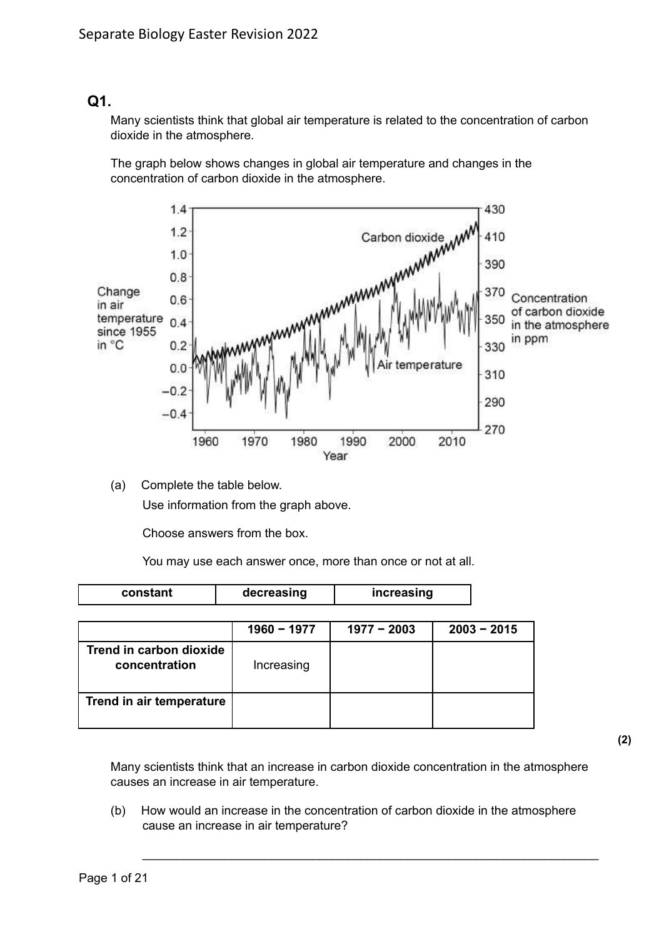## **Q1.**

Many scientists think that global air temperature is related to the concentration of carbon dioxide in the atmosphere.

The graph below shows changes in global air temperature and changes in the concentration of carbon dioxide in the atmosphere.



(a) Complete the table below. Use information from the graph above.

Choose answers from the box.

You may use each answer once, more than once or not at all.

| constant                                 | decreasing    | increasing    |               |
|------------------------------------------|---------------|---------------|---------------|
|                                          | $1960 - 1977$ | $1977 - 2003$ | $2003 - 2015$ |
| Trend in carbon dioxide<br>concentration | Increasing    |               |               |
| Trend in air temperature                 |               |               |               |

Many scientists think that an increase in carbon dioxide concentration in the atmosphere causes an increase in air temperature.

(b) How would an increase in the concentration of carbon dioxide in the atmosphere cause an increase in air temperature?

\_\_\_\_\_\_\_\_\_\_\_\_\_\_\_\_\_\_\_\_\_\_\_\_\_\_\_\_\_\_\_\_\_\_\_\_\_\_\_\_\_\_\_\_\_\_\_\_\_\_\_\_\_\_\_\_\_\_\_\_\_\_\_\_\_\_\_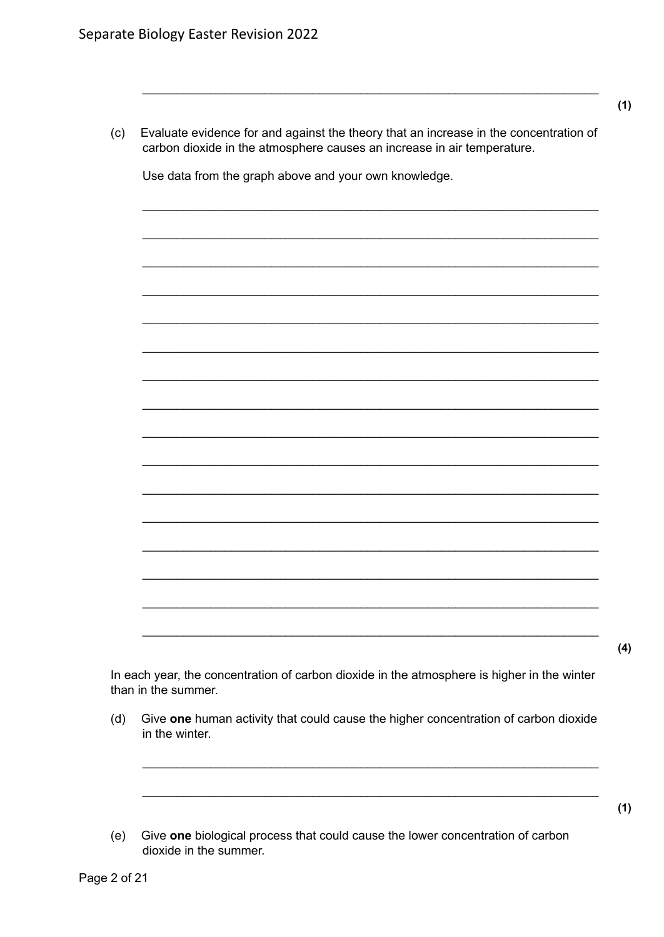$(c)$ Evaluate evidence for and against the theory that an increase in the concentration of carbon dioxide in the atmosphere causes an increase in air temperature.

Use data from the graph above and your own knowledge.

In each year, the concentration of carbon dioxide in the atmosphere is higher in the winter

- Give one human activity that could cause the higher concentration of carbon dioxide  $(d)$ in the winter.
- (e) Give one biological process that could cause the lower concentration of carbon dioxide in the summer.

 $(4)$ 

 $(1)$ 

 $(1)$ 

than in the summer.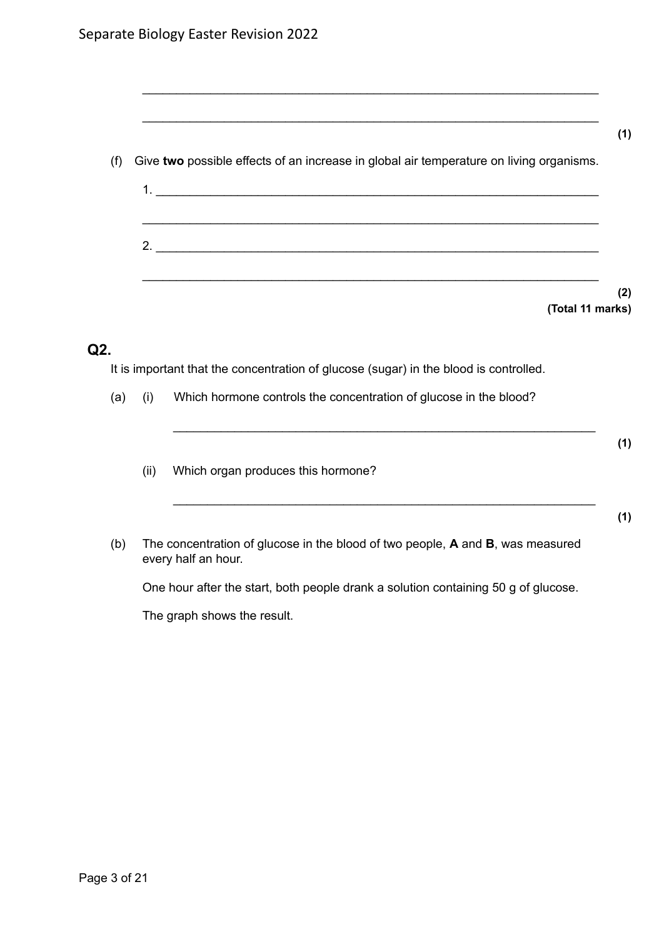| Give two possible effects of an increase in global air temperature on living organisms. |  |
|-----------------------------------------------------------------------------------------|--|
|                                                                                         |  |
|                                                                                         |  |
| 2. $\overline{\phantom{a}}$                                                             |  |
|                                                                                         |  |

\_\_\_\_\_\_\_\_\_\_\_\_\_\_\_\_\_\_\_\_\_\_\_\_\_\_\_\_\_\_\_\_\_\_\_\_\_\_\_\_\_\_\_\_\_\_\_\_\_\_\_\_\_\_\_\_\_\_\_\_\_\_\_\_\_\_\_

\_\_\_\_\_\_\_\_\_\_\_\_\_\_\_\_\_\_\_\_\_\_\_\_\_\_\_\_\_\_\_\_\_\_\_\_\_\_\_\_\_\_\_\_\_\_\_\_\_\_\_\_\_\_\_\_\_\_\_\_\_\_\_\_\_\_\_

## **Q2.**

It is important that the concentration of glucose (sugar) in the blood is controlled.

(a) (i) Which hormone controls the concentration of glucose in the blood?

- (ii) Which organ produces this hormone?
- (b) The concentration of glucose in the blood of two people, **A** and **B**, was measured every half an hour.

\_\_\_\_\_\_\_\_\_\_\_\_\_\_\_\_\_\_\_\_\_\_\_\_\_\_\_\_\_\_\_\_\_\_\_\_\_\_\_\_\_\_\_\_\_\_\_\_\_\_\_\_\_\_\_\_\_\_\_\_\_\_

\_\_\_\_\_\_\_\_\_\_\_\_\_\_\_\_\_\_\_\_\_\_\_\_\_\_\_\_\_\_\_\_\_\_\_\_\_\_\_\_\_\_\_\_\_\_\_\_\_\_\_\_\_\_\_\_\_\_\_\_\_\_

One hour after the start, both people drank a solution containing 50 g of glucose.

The graph shows the result.

**(1)**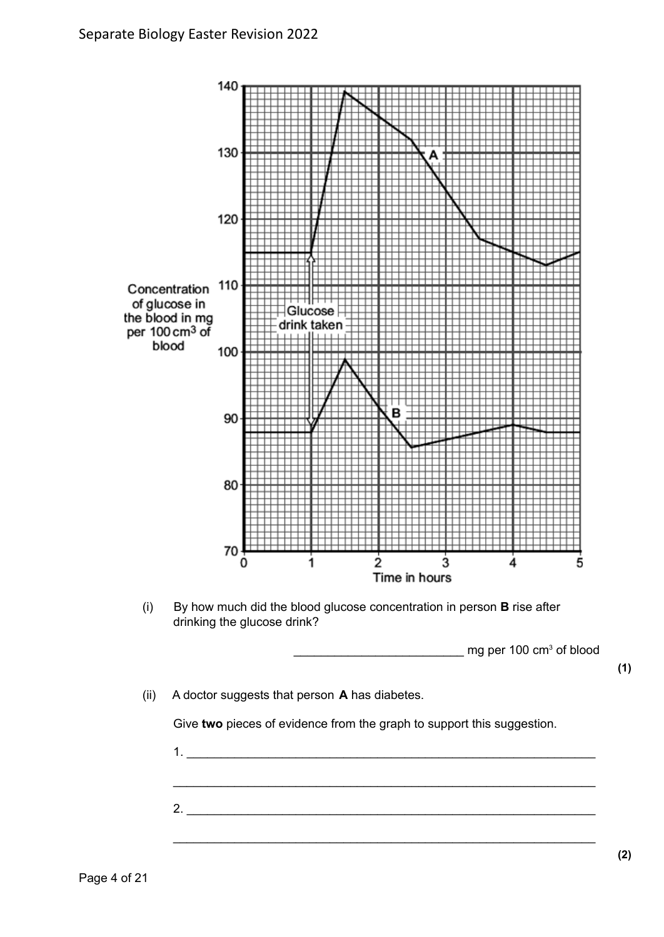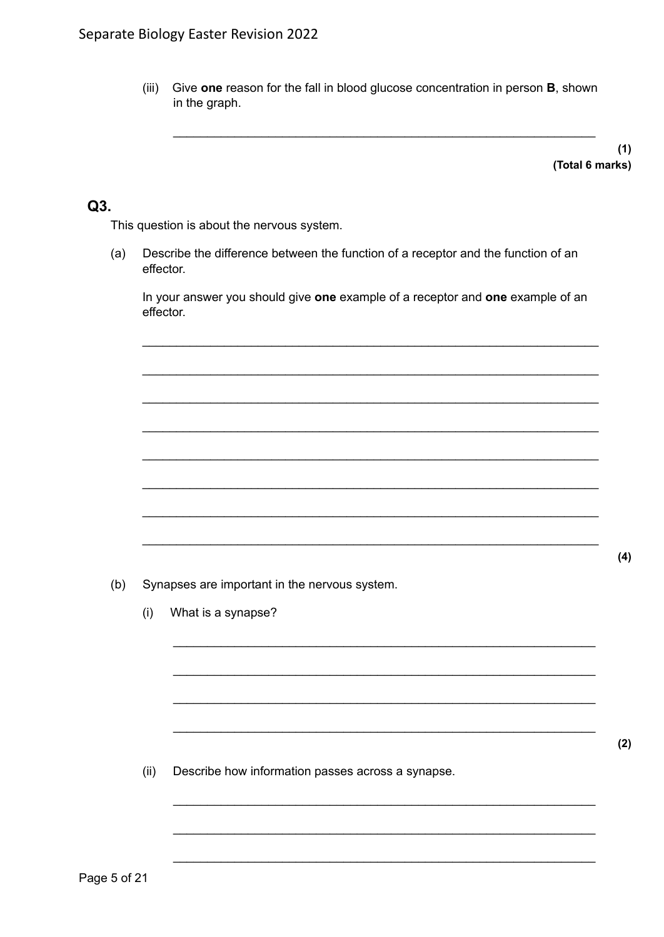$(iii)$ Give one reason for the fall in blood glucose concentration in person B, shown in the graph.

> $(1)$ (Total 6 marks)

## Q3.

This question is about the nervous system.

 $(a)$ Describe the difference between the function of a receptor and the function of an effector.

In your answer you should give one example of a receptor and one example of an effector.

 $(b)$ Synapses are important in the nervous system.

> What is a synapse?  $(i)$

 $(ii)$ Describe how information passes across a synapse.  $(4)$ 

 $(2)$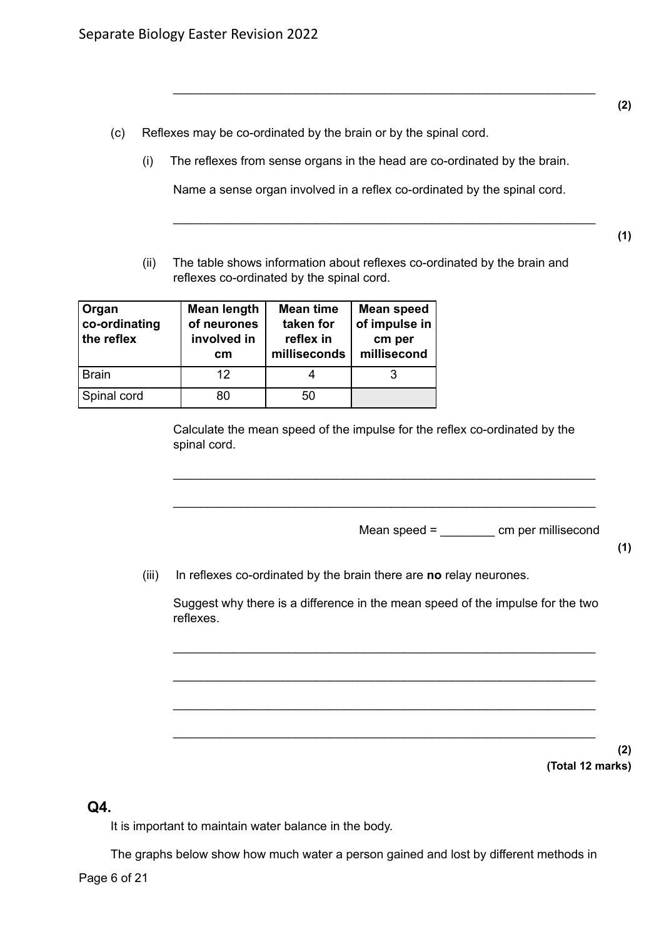- (c) Reflexes may be co-ordinated by the brain or by the spinal cord.
	- (i) The reflexes from sense organs in the head are co-ordinated by the brain.

Name a sense organ involved in a reflex co-ordinated by the spinal cord.

\_\_\_\_\_\_\_\_\_\_\_\_\_\_\_\_\_\_\_\_\_\_\_\_\_\_\_\_\_\_\_\_\_\_\_\_\_\_\_\_\_\_\_\_\_\_\_\_\_\_\_\_\_\_\_\_\_\_\_\_\_\_

\_\_\_\_\_\_\_\_\_\_\_\_\_\_\_\_\_\_\_\_\_\_\_\_\_\_\_\_\_\_\_\_\_\_\_\_\_\_\_\_\_\_\_\_\_\_\_\_\_\_\_\_\_\_\_\_\_\_\_\_\_\_

(ii) The table shows information about reflexes co-ordinated by the brain and reflexes co-ordinated by the spinal cord.

| Organ<br>co-ordinating<br>the reflex | <b>Mean length</b><br>of neurones<br>involved in<br>cm | <b>Mean time</b><br>taken for<br>reflex in<br>milliseconds | <b>Mean speed</b><br>of impulse in<br>cm per<br>millisecond |
|--------------------------------------|--------------------------------------------------------|------------------------------------------------------------|-------------------------------------------------------------|
| <b>Brain</b>                         | 12                                                     |                                                            |                                                             |
| Spinal cord                          | 80                                                     | 50                                                         |                                                             |

Calculate the mean speed of the impulse for the reflex co-ordinated by the spinal cord.

\_\_\_\_\_\_\_\_\_\_\_\_\_\_\_\_\_\_\_\_\_\_\_\_\_\_\_\_\_\_\_\_\_\_\_\_\_\_\_\_\_\_\_\_\_\_\_\_\_\_\_\_\_\_\_\_\_\_\_\_\_\_

\_\_\_\_\_\_\_\_\_\_\_\_\_\_\_\_\_\_\_\_\_\_\_\_\_\_\_\_\_\_\_\_\_\_\_\_\_\_\_\_\_\_\_\_\_\_\_\_\_\_\_\_\_\_\_\_\_\_\_\_\_\_

Mean speed = cm per millisecond

(iii) In reflexes co-ordinated by the brain there are **no** relay neurones.

Suggest why there is a difference in the mean speed of the impulse for the two reflexes.

\_\_\_\_\_\_\_\_\_\_\_\_\_\_\_\_\_\_\_\_\_\_\_\_\_\_\_\_\_\_\_\_\_\_\_\_\_\_\_\_\_\_\_\_\_\_\_\_\_\_\_\_\_\_\_\_\_\_\_\_\_\_

\_\_\_\_\_\_\_\_\_\_\_\_\_\_\_\_\_\_\_\_\_\_\_\_\_\_\_\_\_\_\_\_\_\_\_\_\_\_\_\_\_\_\_\_\_\_\_\_\_\_\_\_\_\_\_\_\_\_\_\_\_\_

\_\_\_\_\_\_\_\_\_\_\_\_\_\_\_\_\_\_\_\_\_\_\_\_\_\_\_\_\_\_\_\_\_\_\_\_\_\_\_\_\_\_\_\_\_\_\_\_\_\_\_\_\_\_\_\_\_\_\_\_\_\_

\_\_\_\_\_\_\_\_\_\_\_\_\_\_\_\_\_\_\_\_\_\_\_\_\_\_\_\_\_\_\_\_\_\_\_\_\_\_\_\_\_\_\_\_\_\_\_\_\_\_\_\_\_\_\_\_\_\_\_\_\_\_

**(2) (Total 12 marks)**

## **Q4.**

It is important to maintain water balance in the body.

The graphs below show how much water a person gained and lost by different methods in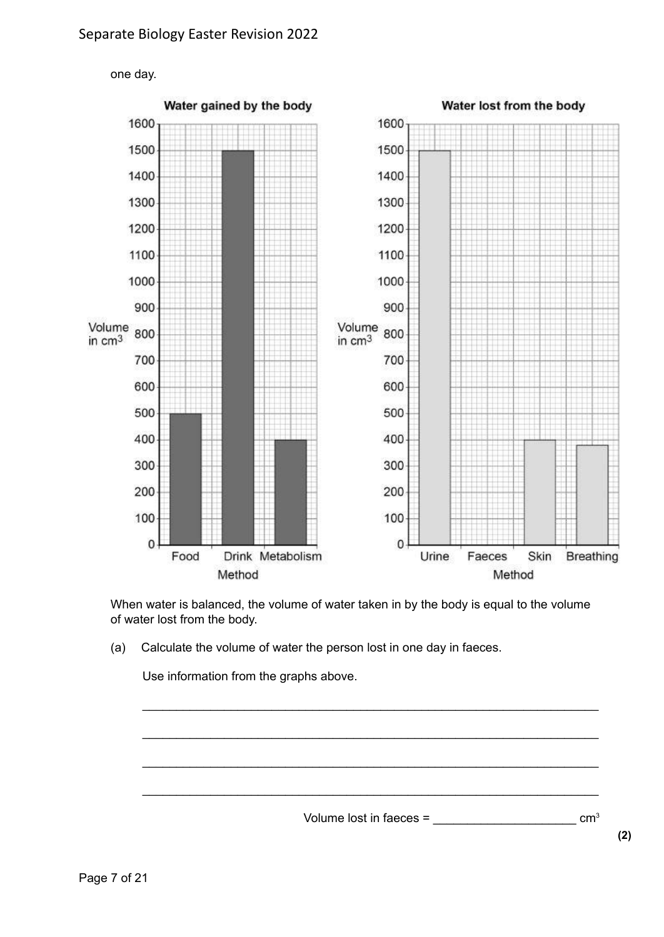

When water is balanced, the volume of water taken in by the body is equal to the volume of water lost from the body.

(a) Calculate the volume of water the person lost in one day in faeces.

Use information from the graphs above.

Volume lost in faeces =  $\sim$ 

\_\_\_\_\_\_\_\_\_\_\_\_\_\_\_\_\_\_\_\_\_\_\_\_\_\_\_\_\_\_\_\_\_\_\_\_\_\_\_\_\_\_\_\_\_\_\_\_\_\_\_\_\_\_\_\_\_\_\_\_\_\_\_\_\_\_\_

\_\_\_\_\_\_\_\_\_\_\_\_\_\_\_\_\_\_\_\_\_\_\_\_\_\_\_\_\_\_\_\_\_\_\_\_\_\_\_\_\_\_\_\_\_\_\_\_\_\_\_\_\_\_\_\_\_\_\_\_\_\_\_\_\_\_\_

\_\_\_\_\_\_\_\_\_\_\_\_\_\_\_\_\_\_\_\_\_\_\_\_\_\_\_\_\_\_\_\_\_\_\_\_\_\_\_\_\_\_\_\_\_\_\_\_\_\_\_\_\_\_\_\_\_\_\_\_\_\_\_\_\_\_\_

\_\_\_\_\_\_\_\_\_\_\_\_\_\_\_\_\_\_\_\_\_\_\_\_\_\_\_\_\_\_\_\_\_\_\_\_\_\_\_\_\_\_\_\_\_\_\_\_\_\_\_\_\_\_\_\_\_\_\_\_\_\_\_\_\_\_\_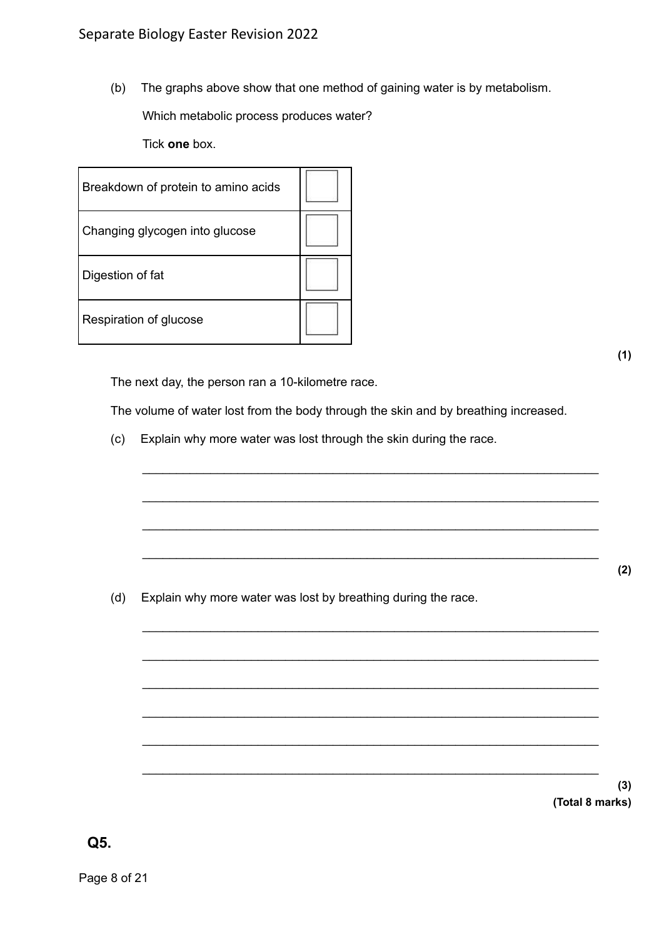(b) The graphs above show that one method of gaining water is by metabolism.

Which metabolic process produces water?

Tick **one** box.

| Breakdown of protein to amino acids |  |
|-------------------------------------|--|
| Changing glycogen into glucose      |  |
| Digestion of fat                    |  |
| Respiration of glucose              |  |

**(1)**

The next day, the person ran a 10-kilometre race.

The volume of water lost from the body through the skin and by breathing increased.

\_\_\_\_\_\_\_\_\_\_\_\_\_\_\_\_\_\_\_\_\_\_\_\_\_\_\_\_\_\_\_\_\_\_\_\_\_\_\_\_\_\_\_\_\_\_\_\_\_\_\_\_\_\_\_\_\_\_\_\_\_\_\_\_\_\_\_

\_\_\_\_\_\_\_\_\_\_\_\_\_\_\_\_\_\_\_\_\_\_\_\_\_\_\_\_\_\_\_\_\_\_\_\_\_\_\_\_\_\_\_\_\_\_\_\_\_\_\_\_\_\_\_\_\_\_\_\_\_\_\_\_\_\_\_

\_\_\_\_\_\_\_\_\_\_\_\_\_\_\_\_\_\_\_\_\_\_\_\_\_\_\_\_\_\_\_\_\_\_\_\_\_\_\_\_\_\_\_\_\_\_\_\_\_\_\_\_\_\_\_\_\_\_\_\_\_\_\_\_\_\_\_

\_\_\_\_\_\_\_\_\_\_\_\_\_\_\_\_\_\_\_\_\_\_\_\_\_\_\_\_\_\_\_\_\_\_\_\_\_\_\_\_\_\_\_\_\_\_\_\_\_\_\_\_\_\_\_\_\_\_\_\_\_\_\_\_\_\_\_

\_\_\_\_\_\_\_\_\_\_\_\_\_\_\_\_\_\_\_\_\_\_\_\_\_\_\_\_\_\_\_\_\_\_\_\_\_\_\_\_\_\_\_\_\_\_\_\_\_\_\_\_\_\_\_\_\_\_\_\_\_\_\_\_\_\_\_

\_\_\_\_\_\_\_\_\_\_\_\_\_\_\_\_\_\_\_\_\_\_\_\_\_\_\_\_\_\_\_\_\_\_\_\_\_\_\_\_\_\_\_\_\_\_\_\_\_\_\_\_\_\_\_\_\_\_\_\_\_\_\_\_\_\_\_

\_\_\_\_\_\_\_\_\_\_\_\_\_\_\_\_\_\_\_\_\_\_\_\_\_\_\_\_\_\_\_\_\_\_\_\_\_\_\_\_\_\_\_\_\_\_\_\_\_\_\_\_\_\_\_\_\_\_\_\_\_\_\_\_\_\_\_

\_\_\_\_\_\_\_\_\_\_\_\_\_\_\_\_\_\_\_\_\_\_\_\_\_\_\_\_\_\_\_\_\_\_\_\_\_\_\_\_\_\_\_\_\_\_\_\_\_\_\_\_\_\_\_\_\_\_\_\_\_\_\_\_\_\_\_

\_\_\_\_\_\_\_\_\_\_\_\_\_\_\_\_\_\_\_\_\_\_\_\_\_\_\_\_\_\_\_\_\_\_\_\_\_\_\_\_\_\_\_\_\_\_\_\_\_\_\_\_\_\_\_\_\_\_\_\_\_\_\_\_\_\_\_

\_\_\_\_\_\_\_\_\_\_\_\_\_\_\_\_\_\_\_\_\_\_\_\_\_\_\_\_\_\_\_\_\_\_\_\_\_\_\_\_\_\_\_\_\_\_\_\_\_\_\_\_\_\_\_\_\_\_\_\_\_\_\_\_\_\_\_

(c) Explain why more water was lost through the skin during the race.

(d) Explain why more water was lost by breathing during the race.

**(3) (Total 8 marks)**

**Q5.**

Page 8 of 21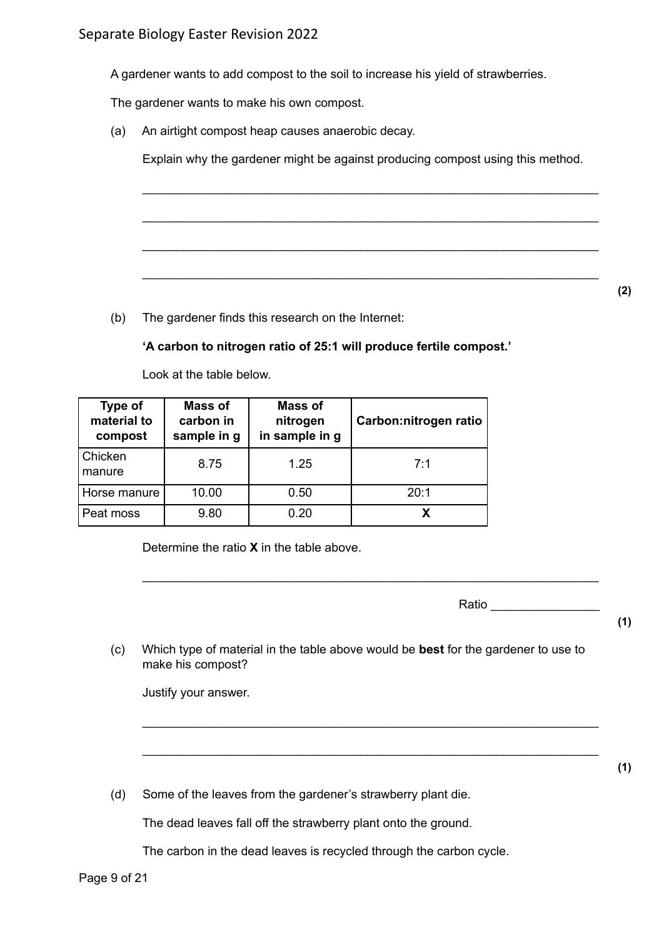A gardener wants to add compost to the soil to increase his yield of strawberries.

The gardener wants to make his own compost.

(a) An airtight compost heap causes anaerobic decay.

Explain why the gardener might be against producing compost using this method.

\_\_\_\_\_\_\_\_\_\_\_\_\_\_\_\_\_\_\_\_\_\_\_\_\_\_\_\_\_\_\_\_\_\_\_\_\_\_\_\_\_\_\_\_\_\_\_\_\_\_\_\_\_\_\_\_\_\_\_\_\_\_\_\_\_\_\_

\_\_\_\_\_\_\_\_\_\_\_\_\_\_\_\_\_\_\_\_\_\_\_\_\_\_\_\_\_\_\_\_\_\_\_\_\_\_\_\_\_\_\_\_\_\_\_\_\_\_\_\_\_\_\_\_\_\_\_\_\_\_\_\_\_\_\_

\_\_\_\_\_\_\_\_\_\_\_\_\_\_\_\_\_\_\_\_\_\_\_\_\_\_\_\_\_\_\_\_\_\_\_\_\_\_\_\_\_\_\_\_\_\_\_\_\_\_\_\_\_\_\_\_\_\_\_\_\_\_\_\_\_\_\_

\_\_\_\_\_\_\_\_\_\_\_\_\_\_\_\_\_\_\_\_\_\_\_\_\_\_\_\_\_\_\_\_\_\_\_\_\_\_\_\_\_\_\_\_\_\_\_\_\_\_\_\_\_\_\_\_\_\_\_\_\_\_\_\_\_\_\_

(b) The gardener finds this research on the Internet:

#### **'A carbon to nitrogen ratio of 25:1 will produce fertile compost.'**

Look at the table below.

| <b>Type of</b><br>material to<br>compost | Mass of<br>carbon in<br>sample in g | Mass of<br>nitrogen<br>in sample in g | Carbon:nitrogen ratio |
|------------------------------------------|-------------------------------------|---------------------------------------|-----------------------|
| Chicken<br>manure                        | 8.75                                | 1.25                                  | 7.1                   |
| Horse manure                             | 10.00                               | 0.50                                  | 20:1                  |
| Peat moss                                | 9.80                                | 0.20                                  |                       |

Determine the ratio **X** in the table above.

Ratio \_\_\_\_\_\_\_\_\_\_\_\_\_\_\_\_

**(1)**

**(1)**

(c) Which type of material in the table above would be **best** for the gardener to use to make his compost?

\_\_\_\_\_\_\_\_\_\_\_\_\_\_\_\_\_\_\_\_\_\_\_\_\_\_\_\_\_\_\_\_\_\_\_\_\_\_\_\_\_\_\_\_\_\_\_\_\_\_\_\_\_\_\_\_\_\_\_\_\_\_\_\_\_\_\_

\_\_\_\_\_\_\_\_\_\_\_\_\_\_\_\_\_\_\_\_\_\_\_\_\_\_\_\_\_\_\_\_\_\_\_\_\_\_\_\_\_\_\_\_\_\_\_\_\_\_\_\_\_\_\_\_\_\_\_\_\_\_\_\_\_\_\_

\_\_\_\_\_\_\_\_\_\_\_\_\_\_\_\_\_\_\_\_\_\_\_\_\_\_\_\_\_\_\_\_\_\_\_\_\_\_\_\_\_\_\_\_\_\_\_\_\_\_\_\_\_\_\_\_\_\_\_\_\_\_\_\_\_\_\_

Justify your answer.

(d) Some of the leaves from the gardener's strawberry plant die.

The dead leaves fall off the strawberry plant onto the ground.

The carbon in the dead leaves is recycled through the carbon cycle.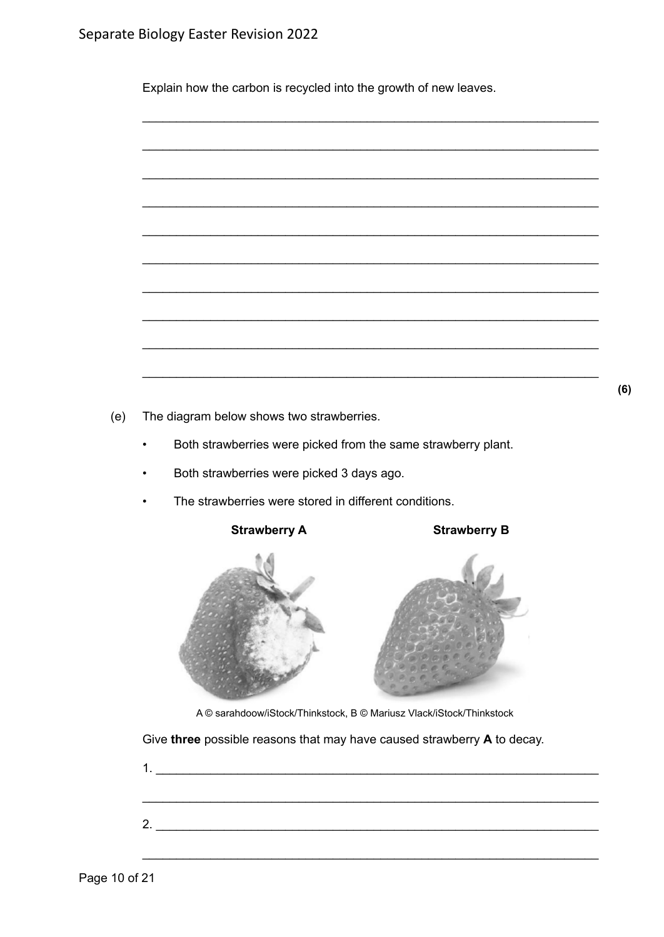Explain how the carbon is recycled into the growth of new leaves.



 $(e)$ The diagram below shows two strawberries.

- Both strawberries were picked from the same strawberry plant.  $\bullet$
- Both strawberries were picked 3 days ago.  $\bullet$
- The strawberries were stored in different conditions.

**Strawberry A** 

**Strawberry B** 



A © sarahdoow/iStock/Thinkstock, B © Mariusz Vlack/iStock/Thinkstock

Give three possible reasons that may have caused strawberry A to decay.

 $\overline{\phantom{a}}$   $(6)$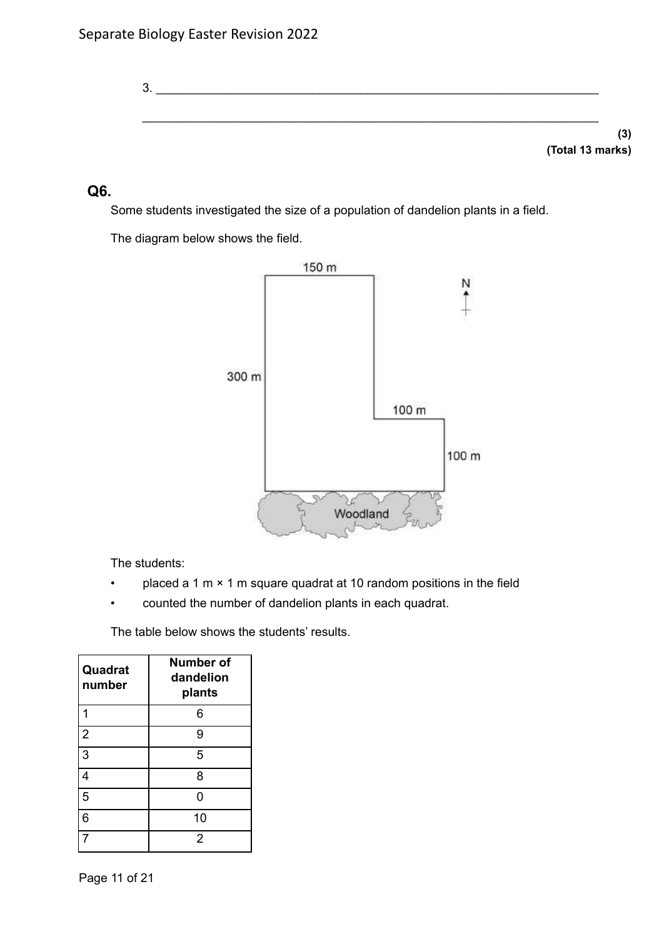3. \_\_\_\_\_\_\_\_\_\_\_\_\_\_\_\_\_\_\_\_\_\_\_\_\_\_\_\_\_\_\_\_\_\_\_\_\_\_\_\_\_\_\_\_\_\_\_\_\_\_\_\_\_\_\_\_\_\_\_\_\_\_\_\_\_ \_\_\_\_\_\_\_\_\_\_\_\_\_\_\_\_\_\_\_\_\_\_\_\_\_\_\_\_\_\_\_\_\_\_\_\_\_\_\_\_\_\_\_\_\_\_\_\_\_\_\_\_\_\_\_\_\_\_\_\_\_\_\_\_\_\_\_ **(3)**

**(Total 13 marks)**

## **Q6.**

Some students investigated the size of a population of dandelion plants in a field.

The diagram below shows the field.



The students:

- placed a 1 m  $\times$  1 m square quadrat at 10 random positions in the field
- counted the number of dandelion plants in each quadrat.

The table below shows the students' results.

| Quadrat<br>number | <b>Number of</b><br>dandelion<br>plants |
|-------------------|-----------------------------------------|
|                   | 6                                       |
| $\overline{2}$    | 9                                       |
| 3                 | 5                                       |
| 4                 | 8                                       |
| 5                 | ი                                       |
| 6                 | 10                                      |
|                   | 2                                       |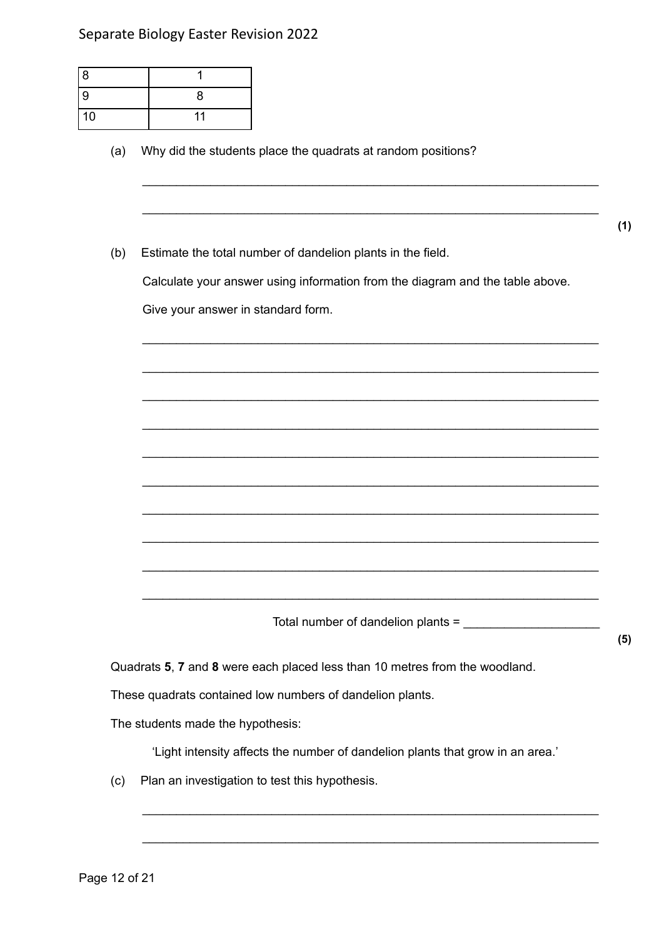## Separate Biology Easter Revision 2022

| 8  |    |
|----|----|
| 9  | 8  |
| 10 | 11 |

(a) Why did the students place the quadrats at random positions?

**(1)**

(b) Estimate the total number of dandelion plants in the field.

Calculate your answer using information from the diagram and the table above.

\_\_\_\_\_\_\_\_\_\_\_\_\_\_\_\_\_\_\_\_\_\_\_\_\_\_\_\_\_\_\_\_\_\_\_\_\_\_\_\_\_\_\_\_\_\_\_\_\_\_\_\_\_\_\_\_\_\_\_\_\_\_\_\_\_\_\_

\_\_\_\_\_\_\_\_\_\_\_\_\_\_\_\_\_\_\_\_\_\_\_\_\_\_\_\_\_\_\_\_\_\_\_\_\_\_\_\_\_\_\_\_\_\_\_\_\_\_\_\_\_\_\_\_\_\_\_\_\_\_\_\_\_\_\_

\_\_\_\_\_\_\_\_\_\_\_\_\_\_\_\_\_\_\_\_\_\_\_\_\_\_\_\_\_\_\_\_\_\_\_\_\_\_\_\_\_\_\_\_\_\_\_\_\_\_\_\_\_\_\_\_\_\_\_\_\_\_\_\_\_\_\_

\_\_\_\_\_\_\_\_\_\_\_\_\_\_\_\_\_\_\_\_\_\_\_\_\_\_\_\_\_\_\_\_\_\_\_\_\_\_\_\_\_\_\_\_\_\_\_\_\_\_\_\_\_\_\_\_\_\_\_\_\_\_\_\_\_\_\_

\_\_\_\_\_\_\_\_\_\_\_\_\_\_\_\_\_\_\_\_\_\_\_\_\_\_\_\_\_\_\_\_\_\_\_\_\_\_\_\_\_\_\_\_\_\_\_\_\_\_\_\_\_\_\_\_\_\_\_\_\_\_\_\_\_\_\_

\_\_\_\_\_\_\_\_\_\_\_\_\_\_\_\_\_\_\_\_\_\_\_\_\_\_\_\_\_\_\_\_\_\_\_\_\_\_\_\_\_\_\_\_\_\_\_\_\_\_\_\_\_\_\_\_\_\_\_\_\_\_\_\_\_\_\_

\_\_\_\_\_\_\_\_\_\_\_\_\_\_\_\_\_\_\_\_\_\_\_\_\_\_\_\_\_\_\_\_\_\_\_\_\_\_\_\_\_\_\_\_\_\_\_\_\_\_\_\_\_\_\_\_\_\_\_\_\_\_\_\_\_\_\_

\_\_\_\_\_\_\_\_\_\_\_\_\_\_\_\_\_\_\_\_\_\_\_\_\_\_\_\_\_\_\_\_\_\_\_\_\_\_\_\_\_\_\_\_\_\_\_\_\_\_\_\_\_\_\_\_\_\_\_\_\_\_\_\_\_\_\_

\_\_\_\_\_\_\_\_\_\_\_\_\_\_\_\_\_\_\_\_\_\_\_\_\_\_\_\_\_\_\_\_\_\_\_\_\_\_\_\_\_\_\_\_\_\_\_\_\_\_\_\_\_\_\_\_\_\_\_\_\_\_\_\_\_\_\_

\_\_\_\_\_\_\_\_\_\_\_\_\_\_\_\_\_\_\_\_\_\_\_\_\_\_\_\_\_\_\_\_\_\_\_\_\_\_\_\_\_\_\_\_\_\_\_\_\_\_\_\_\_\_\_\_\_\_\_\_\_\_\_\_\_\_\_

\_\_\_\_\_\_\_\_\_\_\_\_\_\_\_\_\_\_\_\_\_\_\_\_\_\_\_\_\_\_\_\_\_\_\_\_\_\_\_\_\_\_\_\_\_\_\_\_\_\_\_\_\_\_\_\_\_\_\_\_\_\_\_\_\_\_\_

\_\_\_\_\_\_\_\_\_\_\_\_\_\_\_\_\_\_\_\_\_\_\_\_\_\_\_\_\_\_\_\_\_\_\_\_\_\_\_\_\_\_\_\_\_\_\_\_\_\_\_\_\_\_\_\_\_\_\_\_\_\_\_\_\_\_\_

Give your answer in standard form.

Total number of dandelion plants =

Quadrats **5**, **7** and **8** were each placed less than 10 metres from the woodland.

These quadrats contained low numbers of dandelion plants.

The students made the hypothesis:

'Light intensity affects the number of dandelion plants that grow in an area.'

\_\_\_\_\_\_\_\_\_\_\_\_\_\_\_\_\_\_\_\_\_\_\_\_\_\_\_\_\_\_\_\_\_\_\_\_\_\_\_\_\_\_\_\_\_\_\_\_\_\_\_\_\_\_\_\_\_\_\_\_\_\_\_\_\_\_\_

\_\_\_\_\_\_\_\_\_\_\_\_\_\_\_\_\_\_\_\_\_\_\_\_\_\_\_\_\_\_\_\_\_\_\_\_\_\_\_\_\_\_\_\_\_\_\_\_\_\_\_\_\_\_\_\_\_\_\_\_\_\_\_\_\_\_\_

(c) Plan an investigation to test this hypothesis.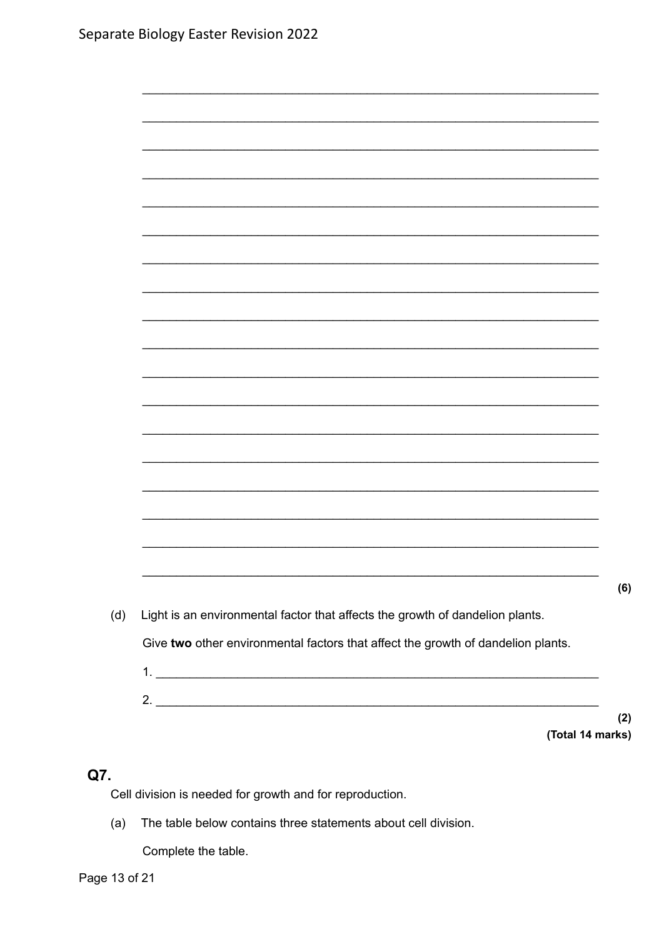| Light is an environmental factor that affects the growth of dandelion plants.    |
|----------------------------------------------------------------------------------|
| Give two other environmental factors that affect the growth of dandelion plants. |

 $(2)$ (Total 14 marks)

 $(6)$ 

# Q7.

Cell division is needed for growth and for reproduction.

(a) The table below contains three statements about cell division.

Complete the table.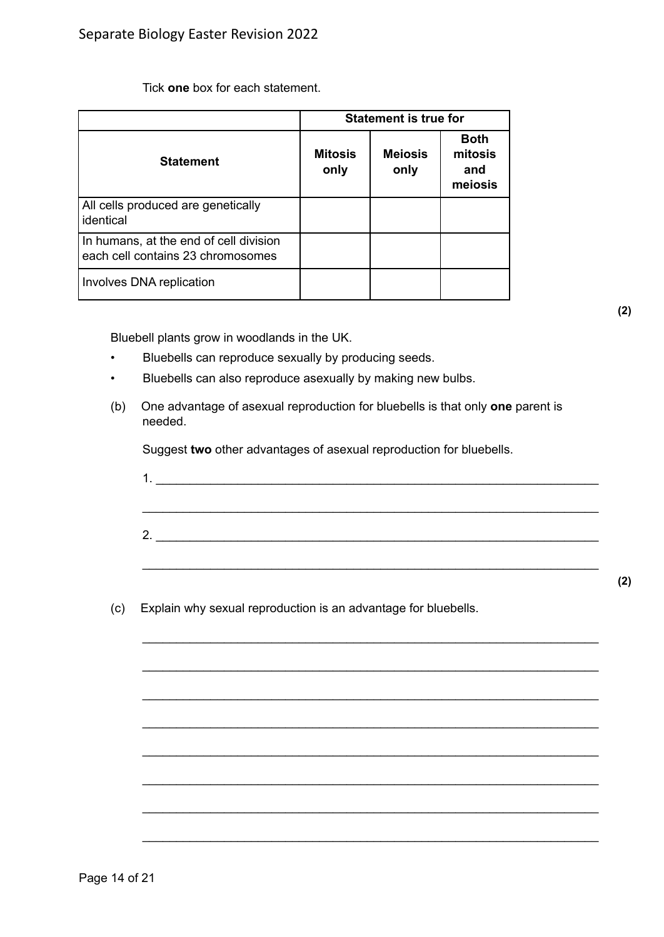Tick **one** box for each statement.

|                                                                             | <b>Statement is true for</b> |                        |                                          |  |  |
|-----------------------------------------------------------------------------|------------------------------|------------------------|------------------------------------------|--|--|
| <b>Statement</b>                                                            | <b>Mitosis</b><br>only       | <b>Mejosis</b><br>only | <b>Both</b><br>mitosis<br>and<br>meiosis |  |  |
| All cells produced are genetically<br>identical                             |                              |                        |                                          |  |  |
| In humans, at the end of cell division<br>each cell contains 23 chromosomes |                              |                        |                                          |  |  |
| Involves DNA replication                                                    |                              |                        |                                          |  |  |

**(2)**

Bluebell plants grow in woodlands in the UK.

- Bluebells can reproduce sexually by producing seeds.
- Bluebells can also reproduce asexually by making new bulbs.
- (b) One advantage of asexual reproduction for bluebells is that only **one** parent is needed.

Suggest **two** other advantages of asexual reproduction for bluebells.

| 1  |  |  |  |
|----|--|--|--|
|    |  |  |  |
|    |  |  |  |
| 2. |  |  |  |
|    |  |  |  |

\_\_\_\_\_\_\_\_\_\_\_\_\_\_\_\_\_\_\_\_\_\_\_\_\_\_\_\_\_\_\_\_\_\_\_\_\_\_\_\_\_\_\_\_\_\_\_\_\_\_\_\_\_\_\_\_\_\_\_\_\_\_\_\_\_\_\_

\_\_\_\_\_\_\_\_\_\_\_\_\_\_\_\_\_\_\_\_\_\_\_\_\_\_\_\_\_\_\_\_\_\_\_\_\_\_\_\_\_\_\_\_\_\_\_\_\_\_\_\_\_\_\_\_\_\_\_\_\_\_\_\_\_\_\_

\_\_\_\_\_\_\_\_\_\_\_\_\_\_\_\_\_\_\_\_\_\_\_\_\_\_\_\_\_\_\_\_\_\_\_\_\_\_\_\_\_\_\_\_\_\_\_\_\_\_\_\_\_\_\_\_\_\_\_\_\_\_\_\_\_\_\_

\_\_\_\_\_\_\_\_\_\_\_\_\_\_\_\_\_\_\_\_\_\_\_\_\_\_\_\_\_\_\_\_\_\_\_\_\_\_\_\_\_\_\_\_\_\_\_\_\_\_\_\_\_\_\_\_\_\_\_\_\_\_\_\_\_\_\_

\_\_\_\_\_\_\_\_\_\_\_\_\_\_\_\_\_\_\_\_\_\_\_\_\_\_\_\_\_\_\_\_\_\_\_\_\_\_\_\_\_\_\_\_\_\_\_\_\_\_\_\_\_\_\_\_\_\_\_\_\_\_\_\_\_\_\_

\_\_\_\_\_\_\_\_\_\_\_\_\_\_\_\_\_\_\_\_\_\_\_\_\_\_\_\_\_\_\_\_\_\_\_\_\_\_\_\_\_\_\_\_\_\_\_\_\_\_\_\_\_\_\_\_\_\_\_\_\_\_\_\_\_\_\_

\_\_\_\_\_\_\_\_\_\_\_\_\_\_\_\_\_\_\_\_\_\_\_\_\_\_\_\_\_\_\_\_\_\_\_\_\_\_\_\_\_\_\_\_\_\_\_\_\_\_\_\_\_\_\_\_\_\_\_\_\_\_\_\_\_\_\_

\_\_\_\_\_\_\_\_\_\_\_\_\_\_\_\_\_\_\_\_\_\_\_\_\_\_\_\_\_\_\_\_\_\_\_\_\_\_\_\_\_\_\_\_\_\_\_\_\_\_\_\_\_\_\_\_\_\_\_\_\_\_\_\_\_\_\_

(c) Explain why sexual reproduction is an advantage for bluebells.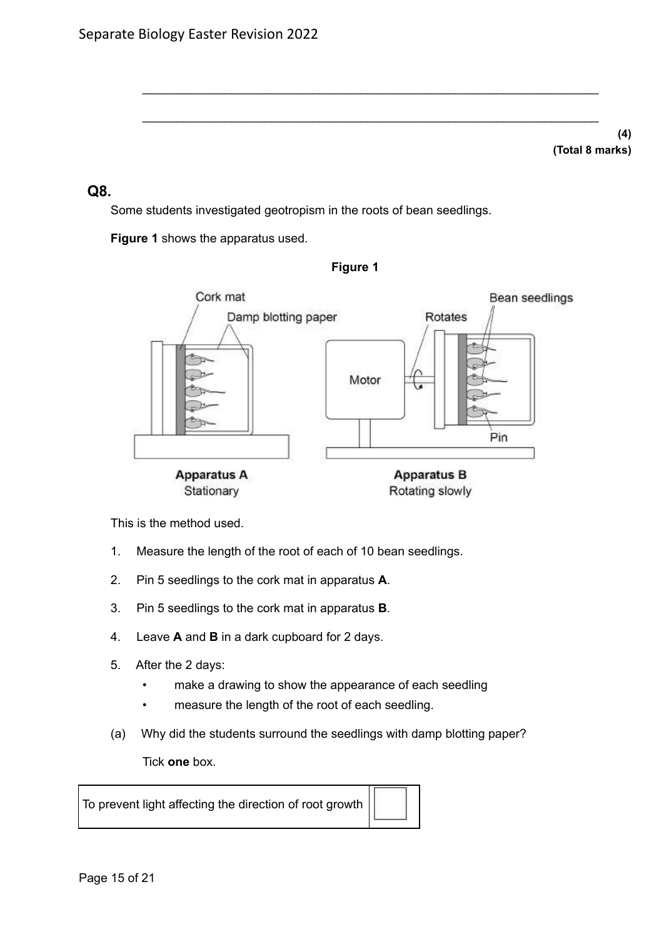**(4) (Total 8 marks)**

## **Q8.**

Some students investigated geotropism in the roots of bean seedlings.

**Figure 1** shows the apparatus used.



**Figure 1**

\_\_\_\_\_\_\_\_\_\_\_\_\_\_\_\_\_\_\_\_\_\_\_\_\_\_\_\_\_\_\_\_\_\_\_\_\_\_\_\_\_\_\_\_\_\_\_\_\_\_\_\_\_\_\_\_\_\_\_\_\_\_\_\_\_\_\_

\_\_\_\_\_\_\_\_\_\_\_\_\_\_\_\_\_\_\_\_\_\_\_\_\_\_\_\_\_\_\_\_\_\_\_\_\_\_\_\_\_\_\_\_\_\_\_\_\_\_\_\_\_\_\_\_\_\_\_\_\_\_\_\_\_\_\_

This is the method used.

- 1. Measure the length of the root of each of 10 bean seedlings.
- 2. Pin 5 seedlings to the cork mat in apparatus **A**.
- 3. Pin 5 seedlings to the cork mat in apparatus **B**.
- 4. Leave **A** and **B** in a dark cupboard for 2 days.
- 5. After the 2 days:
	- make a drawing to show the appearance of each seedling
	- measure the length of the root of each seedling.
- (a) Why did the students surround the seedlings with damp blotting paper?

Tick **one** box.

To prevent light affecting the direction of root growth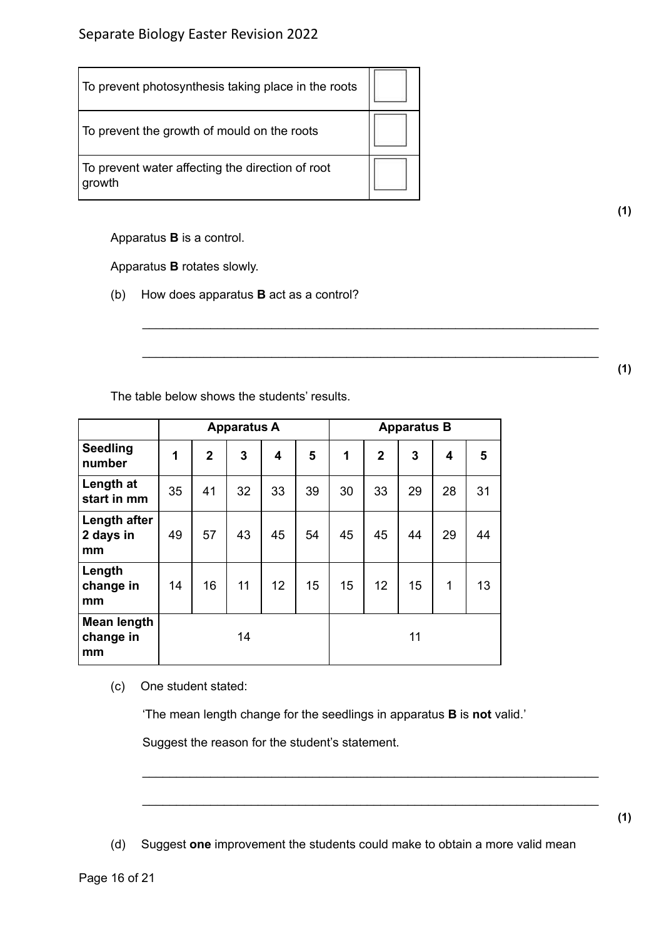| To prevent photosynthesis taking place in the roots        |  |
|------------------------------------------------------------|--|
| To prevent the growth of mould on the roots                |  |
| To prevent water affecting the direction of root<br>growth |  |

Apparatus **B** is a control.

Apparatus **B** rotates slowly.

(b) How does apparatus **B** act as a control?

The table below shows the students' results.

|                                       |    |                | <b>Apparatus A</b> |    |    | <b>Apparatus B</b> |                |    |    |    |
|---------------------------------------|----|----------------|--------------------|----|----|--------------------|----------------|----|----|----|
| <b>Seedling</b><br>number             | 1  | $\overline{2}$ | 3                  | 4  | 5  | 1                  | $\overline{2}$ | 3  | 4  | 5  |
| Length at<br>start in mm              | 35 | 41             | 32                 | 33 | 39 | 30                 | 33             | 29 | 28 | 31 |
| Length after<br>2 days in<br>mm       | 49 | 57             | 43                 | 45 | 54 | 45                 | 45             | 44 | 29 | 44 |
| Length<br>change in<br>mm             | 14 | 16             | 11                 | 12 | 15 | 15                 | 12             | 15 | 1  | 13 |
| <b>Mean length</b><br>change in<br>mm |    |                | 14                 |    |    |                    |                | 11 |    |    |

(c) One student stated:

'The mean length change for the seedlings in apparatus **B** is **not** valid.'

\_\_\_\_\_\_\_\_\_\_\_\_\_\_\_\_\_\_\_\_\_\_\_\_\_\_\_\_\_\_\_\_\_\_\_\_\_\_\_\_\_\_\_\_\_\_\_\_\_\_\_\_\_\_\_\_\_\_\_\_\_\_\_\_\_\_\_

\_\_\_\_\_\_\_\_\_\_\_\_\_\_\_\_\_\_\_\_\_\_\_\_\_\_\_\_\_\_\_\_\_\_\_\_\_\_\_\_\_\_\_\_\_\_\_\_\_\_\_\_\_\_\_\_\_\_\_\_\_\_\_\_\_\_\_

Suggest the reason for the student's statement.

(d) Suggest **one** improvement the students could make to obtain a more valid mean

\_\_\_\_\_\_\_\_\_\_\_\_\_\_\_\_\_\_\_\_\_\_\_\_\_\_\_\_\_\_\_\_\_\_\_\_\_\_\_\_\_\_\_\_\_\_\_\_\_\_\_\_\_\_\_\_\_\_\_\_\_\_\_\_\_\_\_

\_\_\_\_\_\_\_\_\_\_\_\_\_\_\_\_\_\_\_\_\_\_\_\_\_\_\_\_\_\_\_\_\_\_\_\_\_\_\_\_\_\_\_\_\_\_\_\_\_\_\_\_\_\_\_\_\_\_\_\_\_\_\_\_\_\_\_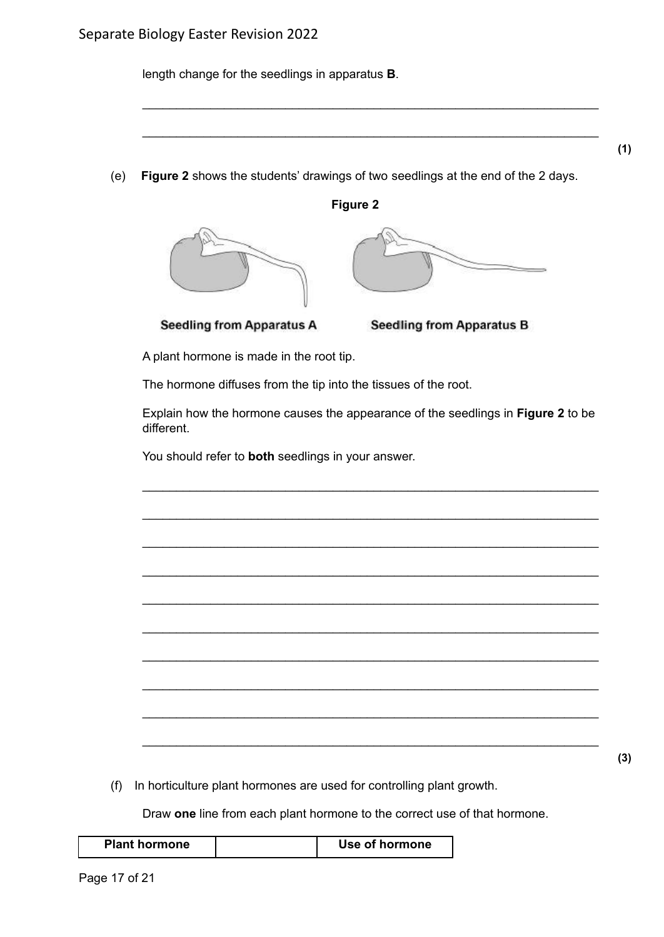length change for the seedlings in apparatus **B**.

(e) **Figure 2** shows the students' drawings of two seedlings at the end of the 2 days.

**Figure 2**

\_\_\_\_\_\_\_\_\_\_\_\_\_\_\_\_\_\_\_\_\_\_\_\_\_\_\_\_\_\_\_\_\_\_\_\_\_\_\_\_\_\_\_\_\_\_\_\_\_\_\_\_\_\_\_\_\_\_\_\_\_\_\_\_\_\_\_

\_\_\_\_\_\_\_\_\_\_\_\_\_\_\_\_\_\_\_\_\_\_\_\_\_\_\_\_\_\_\_\_\_\_\_\_\_\_\_\_\_\_\_\_\_\_\_\_\_\_\_\_\_\_\_\_\_\_\_\_\_\_\_\_\_\_\_





**Seedling from Apparatus A** 

**Seedling from Apparatus B** 

A plant hormone is made in the root tip.

The hormone diffuses from the tip into the tissues of the root.

Explain how the hormone causes the appearance of the seedlings in **Figure 2** to be different.

\_\_\_\_\_\_\_\_\_\_\_\_\_\_\_\_\_\_\_\_\_\_\_\_\_\_\_\_\_\_\_\_\_\_\_\_\_\_\_\_\_\_\_\_\_\_\_\_\_\_\_\_\_\_\_\_\_\_\_\_\_\_\_\_\_\_\_

\_\_\_\_\_\_\_\_\_\_\_\_\_\_\_\_\_\_\_\_\_\_\_\_\_\_\_\_\_\_\_\_\_\_\_\_\_\_\_\_\_\_\_\_\_\_\_\_\_\_\_\_\_\_\_\_\_\_\_\_\_\_\_\_\_\_\_

\_\_\_\_\_\_\_\_\_\_\_\_\_\_\_\_\_\_\_\_\_\_\_\_\_\_\_\_\_\_\_\_\_\_\_\_\_\_\_\_\_\_\_\_\_\_\_\_\_\_\_\_\_\_\_\_\_\_\_\_\_\_\_\_\_\_\_

\_\_\_\_\_\_\_\_\_\_\_\_\_\_\_\_\_\_\_\_\_\_\_\_\_\_\_\_\_\_\_\_\_\_\_\_\_\_\_\_\_\_\_\_\_\_\_\_\_\_\_\_\_\_\_\_\_\_\_\_\_\_\_\_\_\_\_

\_\_\_\_\_\_\_\_\_\_\_\_\_\_\_\_\_\_\_\_\_\_\_\_\_\_\_\_\_\_\_\_\_\_\_\_\_\_\_\_\_\_\_\_\_\_\_\_\_\_\_\_\_\_\_\_\_\_\_\_\_\_\_\_\_\_\_

\_\_\_\_\_\_\_\_\_\_\_\_\_\_\_\_\_\_\_\_\_\_\_\_\_\_\_\_\_\_\_\_\_\_\_\_\_\_\_\_\_\_\_\_\_\_\_\_\_\_\_\_\_\_\_\_\_\_\_\_\_\_\_\_\_\_\_

\_\_\_\_\_\_\_\_\_\_\_\_\_\_\_\_\_\_\_\_\_\_\_\_\_\_\_\_\_\_\_\_\_\_\_\_\_\_\_\_\_\_\_\_\_\_\_\_\_\_\_\_\_\_\_\_\_\_\_\_\_\_\_\_\_\_\_

\_\_\_\_\_\_\_\_\_\_\_\_\_\_\_\_\_\_\_\_\_\_\_\_\_\_\_\_\_\_\_\_\_\_\_\_\_\_\_\_\_\_\_\_\_\_\_\_\_\_\_\_\_\_\_\_\_\_\_\_\_\_\_\_\_\_\_

\_\_\_\_\_\_\_\_\_\_\_\_\_\_\_\_\_\_\_\_\_\_\_\_\_\_\_\_\_\_\_\_\_\_\_\_\_\_\_\_\_\_\_\_\_\_\_\_\_\_\_\_\_\_\_\_\_\_\_\_\_\_\_\_\_\_\_

\_\_\_\_\_\_\_\_\_\_\_\_\_\_\_\_\_\_\_\_\_\_\_\_\_\_\_\_\_\_\_\_\_\_\_\_\_\_\_\_\_\_\_\_\_\_\_\_\_\_\_\_\_\_\_\_\_\_\_\_\_\_\_\_\_\_\_

You should refer to **both** seedlings in your answer.

(f) In horticulture plant hormones are used for controlling plant growth.

Draw **one** line from each plant hormone to the correct use of that hormone.

| <b>Plant hormone</b><br>Use of hormone |  |
|----------------------------------------|--|
|----------------------------------------|--|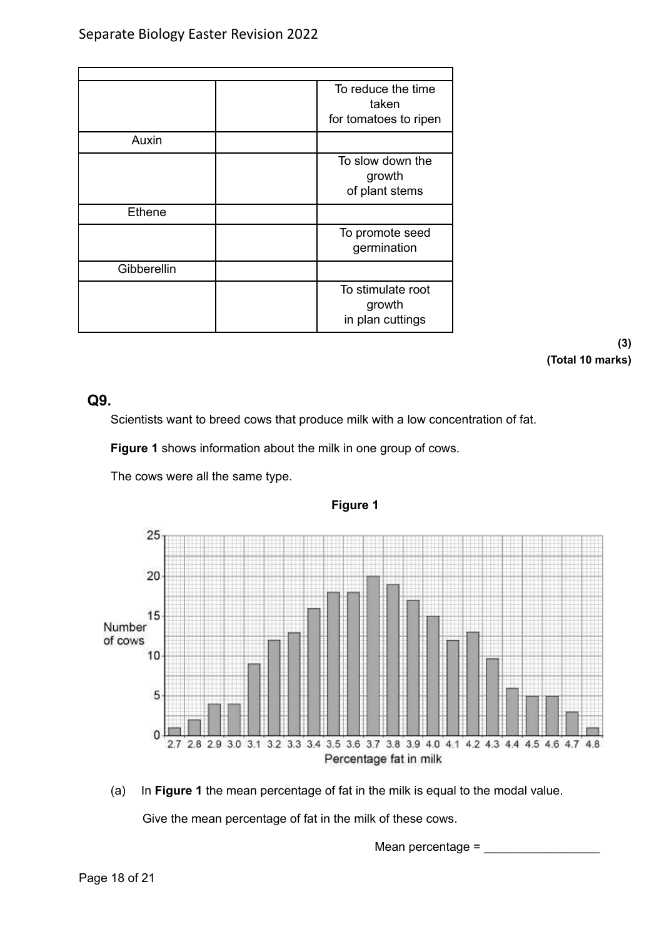|             | To reduce the time<br>taken                     |
|-------------|-------------------------------------------------|
|             | for tomatoes to ripen                           |
| Auxin       |                                                 |
|             | To slow down the<br>growth<br>of plant stems    |
| Ethene      |                                                 |
|             | To promote seed<br>germination                  |
| Gibberellin |                                                 |
|             | To stimulate root<br>growth<br>in plan cuttings |

**(3) (Total 10 marks)**

## **Q9.**

Scientists want to breed cows that produce milk with a low concentration of fat.

**Figure 1** shows information about the milk in one group of cows.

The cows were all the same type.



**Figure 1**

(a) In **Figure 1** the mean percentage of fat in the milk is equal to the modal value.

Give the mean percentage of fat in the milk of these cows.

Mean percentage  $=$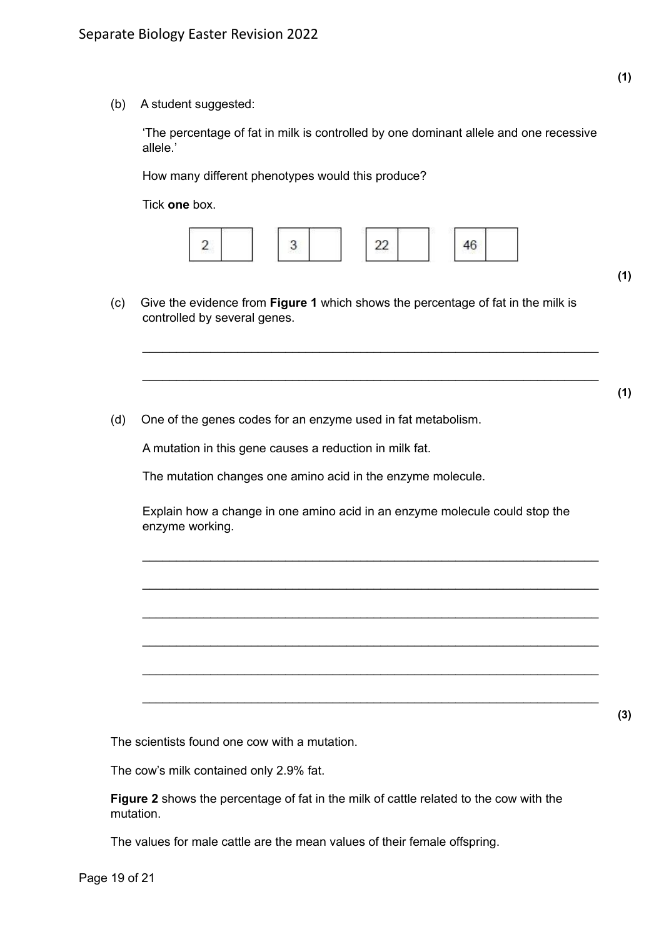(b) A student suggested:

'The percentage of fat in milk is controlled by one dominant allele and one recessive allele.'

How many different phenotypes would this produce?

Tick **one** box.



\_\_\_\_\_\_\_\_\_\_\_\_\_\_\_\_\_\_\_\_\_\_\_\_\_\_\_\_\_\_\_\_\_\_\_\_\_\_\_\_\_\_\_\_\_\_\_\_\_\_\_\_\_\_\_\_\_\_\_\_\_\_\_\_\_\_\_

\_\_\_\_\_\_\_\_\_\_\_\_\_\_\_\_\_\_\_\_\_\_\_\_\_\_\_\_\_\_\_\_\_\_\_\_\_\_\_\_\_\_\_\_\_\_\_\_\_\_\_\_\_\_\_\_\_\_\_\_\_\_\_\_\_\_\_

- (c) Give the evidence from **Figure 1** which shows the percentage of fat in the milk is controlled by several genes.
- (d) One of the genes codes for an enzyme used in fat metabolism.

A mutation in this gene causes a reduction in milk fat.

The mutation changes one amino acid in the enzyme molecule.

Explain how a change in one amino acid in an enzyme molecule could stop the enzyme working.

\_\_\_\_\_\_\_\_\_\_\_\_\_\_\_\_\_\_\_\_\_\_\_\_\_\_\_\_\_\_\_\_\_\_\_\_\_\_\_\_\_\_\_\_\_\_\_\_\_\_\_\_\_\_\_\_\_\_\_\_\_\_\_\_\_\_\_

\_\_\_\_\_\_\_\_\_\_\_\_\_\_\_\_\_\_\_\_\_\_\_\_\_\_\_\_\_\_\_\_\_\_\_\_\_\_\_\_\_\_\_\_\_\_\_\_\_\_\_\_\_\_\_\_\_\_\_\_\_\_\_\_\_\_\_

\_\_\_\_\_\_\_\_\_\_\_\_\_\_\_\_\_\_\_\_\_\_\_\_\_\_\_\_\_\_\_\_\_\_\_\_\_\_\_\_\_\_\_\_\_\_\_\_\_\_\_\_\_\_\_\_\_\_\_\_\_\_\_\_\_\_\_

\_\_\_\_\_\_\_\_\_\_\_\_\_\_\_\_\_\_\_\_\_\_\_\_\_\_\_\_\_\_\_\_\_\_\_\_\_\_\_\_\_\_\_\_\_\_\_\_\_\_\_\_\_\_\_\_\_\_\_\_\_\_\_\_\_\_\_

\_\_\_\_\_\_\_\_\_\_\_\_\_\_\_\_\_\_\_\_\_\_\_\_\_\_\_\_\_\_\_\_\_\_\_\_\_\_\_\_\_\_\_\_\_\_\_\_\_\_\_\_\_\_\_\_\_\_\_\_\_\_\_\_\_\_\_

\_\_\_\_\_\_\_\_\_\_\_\_\_\_\_\_\_\_\_\_\_\_\_\_\_\_\_\_\_\_\_\_\_\_\_\_\_\_\_\_\_\_\_\_\_\_\_\_\_\_\_\_\_\_\_\_\_\_\_\_\_\_\_\_\_\_\_

The scientists found one cow with a mutation.

The cow's milk contained only 2.9% fat.

**Figure 2** shows the percentage of fat in the milk of cattle related to the cow with the mutation.

The values for male cattle are the mean values of their female offspring.

**(1)**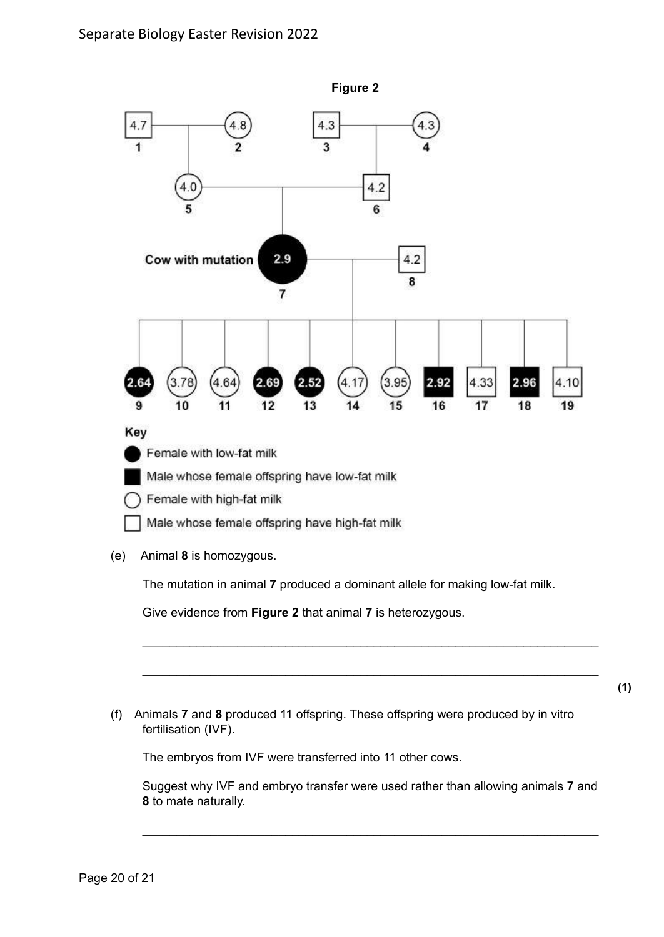

(e) Animal **8** is homozygous.

The mutation in animal **7** produced a dominant allele for making low-fat milk.

Give evidence from **Figure 2** that animal **7** is heterozygous.

(f) Animals **7** and **8** produced 11 offspring. These offspring were produced by in vitro fertilisation (IVF).

The embryos from IVF were transferred into 11 other cows.

Suggest why IVF and embryo transfer were used rather than allowing animals **7** and **8** to mate naturally.

\_\_\_\_\_\_\_\_\_\_\_\_\_\_\_\_\_\_\_\_\_\_\_\_\_\_\_\_\_\_\_\_\_\_\_\_\_\_\_\_\_\_\_\_\_\_\_\_\_\_\_\_\_\_\_\_\_\_\_\_\_\_\_\_\_\_\_

\_\_\_\_\_\_\_\_\_\_\_\_\_\_\_\_\_\_\_\_\_\_\_\_\_\_\_\_\_\_\_\_\_\_\_\_\_\_\_\_\_\_\_\_\_\_\_\_\_\_\_\_\_\_\_\_\_\_\_\_\_\_\_\_\_\_\_

\_\_\_\_\_\_\_\_\_\_\_\_\_\_\_\_\_\_\_\_\_\_\_\_\_\_\_\_\_\_\_\_\_\_\_\_\_\_\_\_\_\_\_\_\_\_\_\_\_\_\_\_\_\_\_\_\_\_\_\_\_\_\_\_\_\_\_